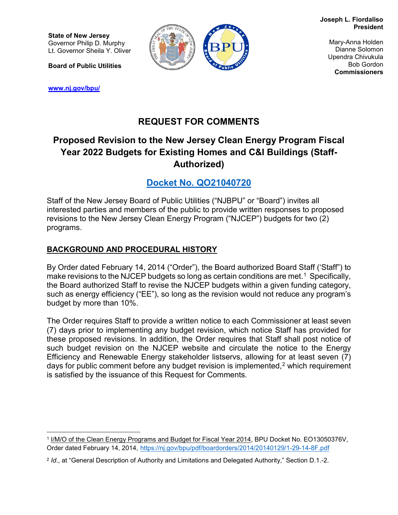**Joseph L. Fiordaliso President**

**State of New Jersey** Governor Philip D. Murphy Lt. Governor Sheila Y. Oliver

**Board of Public Utilities**

**[www.nj.gov/bpu/](http://www.nj.gov/bpu/)**



Mary-Anna Holden Dianne Solomon Upendra Chivukula Bob Gordon **Commissioners**

# **REQUEST FOR COMMENTS**

# **Proposed Revision to the New Jersey Clean Energy Program Fiscal Year 2022 Budgets for Existing Homes and C&I Buildings (Staff-Authorized)**

**[Docket No. QO21040720](https://publicaccess.bpu.state.nj.us/CaseSummary.aspx?case_id=2110342)**

Staff of the New Jersey Board of Public Utilities ("NJBPU" or "Board") invites all interested parties and members of the public to provide written responses to proposed revisions to the New Jersey Clean Energy Program ("NJCEP") budgets for two (2) programs.

## **BACKGROUND AND PROCEDURAL HISTORY**

By Order dated February 14, 2014 ("Order"), the Board authorized Board Staff ('Staff") to make revisions to the NJCEP budgets so long as certain conditions are met.<sup>1</sup> Specifically, the Board authorized Staff to revise the NJCEP budgets within a given funding category, such as energy efficiency ("EE"), so long as the revision would not reduce any program's budget by more than 10%.

The Order requires Staff to provide a written notice to each Commissioner at least seven (7) days prior to implementing any budget revision, which notice Staff has provided for these proposed revisions. In addition, the Order requires that Staff shall post notice of such budget revision on the NJCEP website and circulate the notice to the Energy Efficiency and Renewable Energy stakeholder listservs, allowing for at least seven (7) days for public comment before any budget revision is implemented,<sup>[2](#page-0-1)</sup> which requirement is satisfied by the issuance of this Request for Comments.

<span id="page-0-0"></span> $\overline{a}$ <sup>1</sup> I/M/O of the Clean Energy Programs and Budget for Fiscal Year 2014, BPU Docket No. EO13050376V, Order dated February 14, 2014, <https://nj.gov/bpu/pdf/boardorders/2014/20140129/1-29-14-8F.pdf>

<span id="page-0-1"></span><sup>2</sup> *Id.*, at "General Description of Authority and Limitations and Delegated Authority," Section D.1.-2.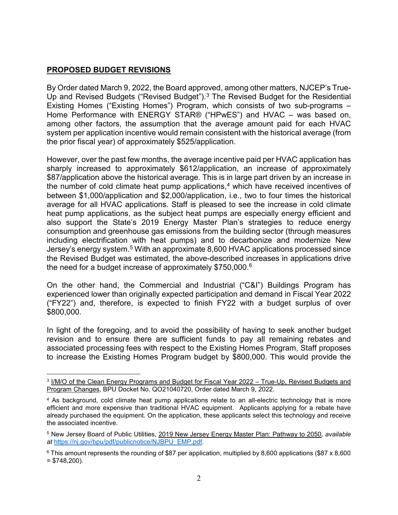### **PROPOSED BUDGET REVISIONS**

 $\overline{a}$ 

By Order dated March 9, 2022, the Board approved, among other matters, NJCEP's True-Up and Revised Budgets ("Revised Budget").<sup>[3](#page-1-0)</sup> The Revised Budget for the Residential Existing Homes ("Existing Homes") Program, which consists of two sub-programs – Home Performance with ENERGY STAR® ("HPwES") and HVAC – was based on, among other factors, the assumption that the average amount paid for each HVAC system per application incentive would remain consistent with the historical average (from the prior fiscal year) of approximately \$525/application.

However, over the past few months, the average incentive paid per HVAC application has sharply increased to approximately \$612/application, an increase of approximately \$87/application above the historical average. This is in large part driven by an increase in the number of cold climate heat pump applications, $4$  which have received incentives of between \$1,000/application and \$2,000/application, i.e., two to four times the historical average for all HVAC applications. Staff is pleased to see the increase in cold climate heat pump applications, as the subject heat pumps are especially energy efficient and also support the State's 2019 Energy Master Plan's strategies to reduce energy consumption and greenhouse gas emissions from the building sector (through measures including electrification with heat pumps) and to decarbonize and modernize New Jersey's energy system.<sup>[5](#page-1-2)</sup> With an approximate 8,600 HVAC applications processed since the Revised Budget was estimated, the above-described increases in applications drive the need for a budget increase of approximately  $$750,000.^6$ 

On the other hand, the Commercial and Industrial ("C&I") Buildings Program has experienced lower than originally expected participation and demand in Fiscal Year 2022 ("FY22") and, therefore, is expected to finish FY22 with a budget surplus of over \$800,000.

In light of the foregoing, and to avoid the possibility of having to seek another budget revision and to ensure there are sufficient funds to pay all remaining rebates and associated processing fees with respect to the Existing Homes Program, Staff proposes to increase the Existing Homes Program budget by \$800,000. This would provide the

<span id="page-1-0"></span><sup>3</sup> I/M/O of the Clean Energy Programs and Budget for Fiscal Year 2022 – True-Up, Revised Budgets and Program Changes, BPU Docket No. QO21040720, Order dated March 9, 2022.

<span id="page-1-1"></span><sup>&</sup>lt;sup>4</sup> As background, cold climate heat pump applications relate to an all-electric technology that is more efficient and more expensive than traditional HVAC equipment. Applicants applying for a rebate have already purchased the equipment. On the application, these applicants select this technology and receive the associated incentive.

<span id="page-1-2"></span><sup>5</sup> New Jersey Board of Public Utilities, 2019 New Jersey Energy Master Plan: Pathway to 2050*, available at* [https://nj.gov/bpu/pdf/publicnotice/NJBPU\\_EMP.pdf](https://nj.gov/bpu/pdf/publicnotice/NJBPU_EMP.pdf)*.*

<span id="page-1-3"></span><sup>6</sup> This amount represents the rounding of \$87 per application, multiplied by 8,600 applications (\$87 x 8,600  $= $748,200$ ).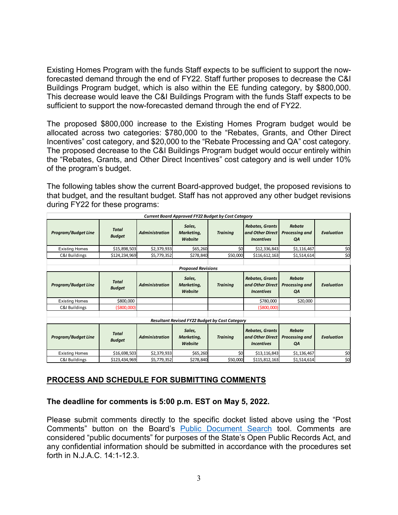Existing Homes Program with the funds Staff expects to be sufficient to support the nowforecasted demand through the end of FY22. Staff further proposes to decrease the C&I Buildings Program budget, which is also within the EE funding category, by \$800,000. This decrease would leave the C&I Buildings Program with the funds Staff expects to be sufficient to support the now-forecasted demand through the end of FY22.

The proposed \$800,000 increase to the Existing Homes Program budget would be allocated across two categories: \$780,000 to the "Rebates, Grants, and Other Direct Incentives" cost category, and \$20,000 to the "Rebate Processing and QA" cost category. The proposed decrease to the C&I Buildings Program budget would occur entirely within the "Rebates, Grants, and Other Direct Incentives" cost category and is well under 10% of the program's budget.

The following tables show the current Board-approved budget, the proposed revisions to that budget, and the resultant budget. Staff has not approved any other budget revisions during FY22 for these programs:

| <b>Current Board Approved FY22 Budget by Cost Category</b> |                               |                       |                                 |                 |                                                                 |                                       |                   |
|------------------------------------------------------------|-------------------------------|-----------------------|---------------------------------|-----------------|-----------------------------------------------------------------|---------------------------------------|-------------------|
| <b>Program/Budget Line</b>                                 | <b>Total</b><br><b>Budget</b> | <b>Administration</b> | Sales.<br>Marketing,<br>Website | <b>Trainina</b> | <b>Rebates, Grants</b><br>and Other Direct<br><b>Incentives</b> | <b>Rebate</b><br>Processing and<br>QA | <b>Evaluation</b> |
| <b>Existing Homes</b>                                      | \$15,898,503                  | \$2,379,933           | \$65,260                        | \$0             | \$12,336,843                                                    | \$1,116,467                           | \$0               |
| C&I Buildings                                              | \$124,234,969                 | \$5,779,352           | \$278,840                       | \$50,000        | \$116,612,163                                                   | \$1,514,614                           | \$0               |
|                                                            |                               |                       |                                 |                 |                                                                 |                                       |                   |
| <b>Proposed Revisions</b>                                  |                               |                       |                                 |                 |                                                                 |                                       |                   |
| <b>Program/Budget Line</b>                                 | <b>Total</b><br><b>Budget</b> | <b>Administration</b> | Sales,<br>Marketing,<br>Website | <b>Trainina</b> | <b>Rebates, Grants</b><br>and Other Direct<br><b>Incentives</b> | <b>Rebate</b><br>Processing and<br>QA | <b>Evaluation</b> |
| <b>Existing Homes</b>                                      | \$800,000                     |                       |                                 |                 | \$780,000                                                       | \$20,000                              |                   |
| C&I Buildings                                              | (\$800,000)                   |                       |                                 |                 | ( \$800,000]                                                    |                                       |                   |
|                                                            |                               |                       |                                 |                 |                                                                 |                                       |                   |
| <b>Resultant Revised FY22 Budget by Cost Category</b>      |                               |                       |                                 |                 |                                                                 |                                       |                   |
| <b>Program/Budget Line</b>                                 | <b>Total</b><br><b>Budget</b> | <b>Administration</b> | Sales,<br>Marketing,<br>Website | <b>Trainina</b> | <b>Rebates, Grants</b><br>and Other Direct<br><b>Incentives</b> | <b>Rebate</b><br>Processing and<br>QA | <b>Evaluation</b> |
| <b>Existing Homes</b>                                      | \$16,698,503                  | \$2,379,933           | \$65,260                        | \$0             | \$13,116,843                                                    | \$1,136,467                           | \$0               |
| C&I Buildings                                              | \$123,434,969                 | \$5,779,352           | \$278,840                       | \$50,000        | \$115,812,163                                                   | \$1,514,614                           | \$0               |

## **PROCESS AND SCHEDULE FOR SUBMITTING COMMENTS**

#### **The deadline for comments is 5:00 p.m. EST on May 5, 2022.**

Please submit comments directly to the specific docket listed above using the "Post Comments" button on the Board's [Public Document Search](https://publicaccess.bpu.state.nj.us/) tool. Comments are considered "public documents" for purposes of the State's Open Public Records Act, and any confidential information should be submitted in accordance with the procedures set forth in N.J.A.C. 14:1-12.3.